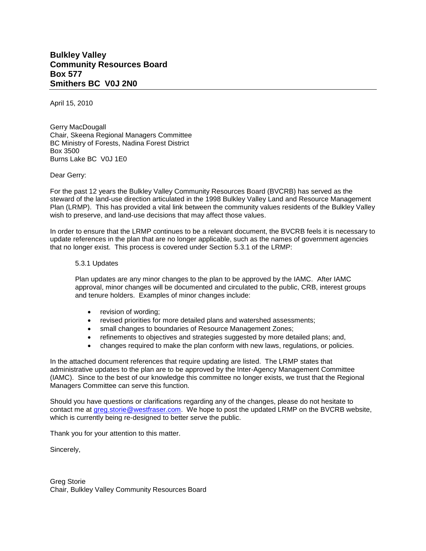## **Bulkley Valley Community Resources Board Box 577 Smithers BC V0J 2N0**

April 15, 2010

Gerry MacDougall Chair, Skeena Regional Managers Committee BC Ministry of Forests, Nadina Forest District Box 3500 Burns Lake BC V0J 1E0

Dear Gerry:

For the past 12 years the Bulkley Valley Community Resources Board (BVCRB) has served as the steward of the land-use direction articulated in the 1998 Bulkley Valley Land and Resource Management Plan (LRMP). This has provided a vital link between the community values residents of the Bulkley Valley wish to preserve, and land-use decisions that may affect those values.

In order to ensure that the LRMP continues to be a relevant document, the BVCRB feels it is necessary to update references in the plan that are no longer applicable, such as the names of government agencies that no longer exist. This process is covered under Section 5.3.1 of the LRMP:

## 5.3.1 Updates

Plan updates are any minor changes to the plan to be approved by the IAMC. After IAMC approval, minor changes will be documented and circulated to the public, CRB, interest groups and tenure holders. Examples of minor changes include:

- revision of wording;
- revised priorities for more detailed plans and watershed assessments;
- small changes to boundaries of Resource Management Zones;
- refinements to objectives and strategies suggested by more detailed plans; and,
- changes required to make the plan conform with new laws, regulations, or policies.

In the attached document references that require updating are listed. The LRMP states that administrative updates to the plan are to be approved by the Inter-Agency Management Committee (IAMC). Since to the best of our knowledge this committee no longer exists, we trust that the Regional Managers Committee can serve this function.

Should you have questions or clarifications regarding any of the changes, please do not hesitate to contact me at [greg.storie@westfraser.com.](mailto:greg.storie@westfraser.com) We hope to post the updated LRMP on the BVCRB website, which is currently being re-designed to better serve the public.

Thank you for your attention to this matter.

Sincerely,

Greg Storie Chair, Bulkley Valley Community Resources Board